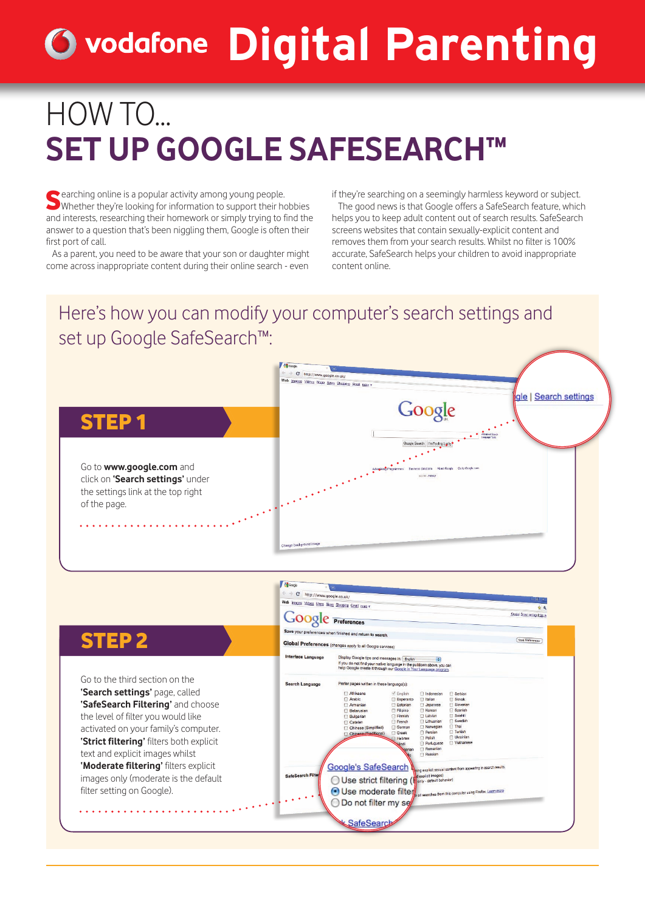# **Digital Parenting**

## HOW TO... **SET UP GOOGLE SAFESEARCH™**

Searching online is a popular activity among young people. Whether they're looking for information to support their hobbies and interests, researching their homework or simply trying to find the answer to a question that's been niggling them, Google is often their first port of call.

As a parent, you need to be aware that your son or daughter might come across inappropriate content during their online search - even

if they're searching on a seemingly harmless keyword or subject. The good news is that Google offers a SafeSearch feature, which helps you to keep adult content out of search results. SafeSearch screens websites that contain sexually-explicit content and removes them from your search results. Whilst no filter is 100% accurate, SafeSearch helps your children to avoid inappropriate content online.

### Here's how you can modify your computer's search settings and set up Google SafeSearch™: